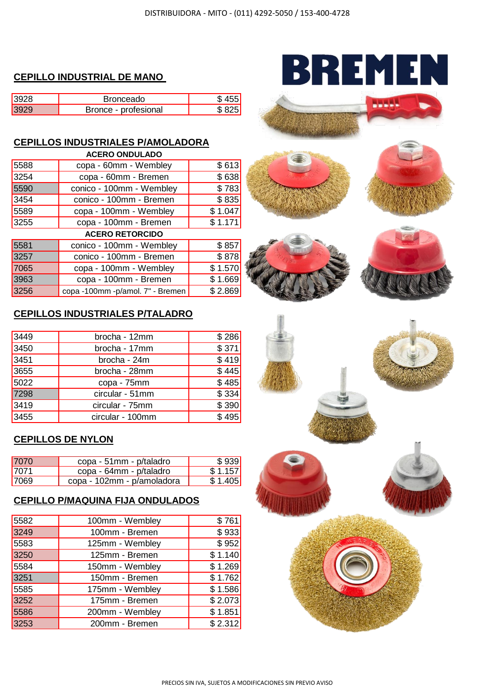#### **CEPILLO INDUSTRIAL DE MANO**

| 2008 | ronceado             |  |
|------|----------------------|--|
| 2000 | Bronce - profesional |  |

# **CEPILLOS INDUSTRIALES P/AMOLADORA**

| <b>ACERO ONDULADO</b>  |                                  |         |  |
|------------------------|----------------------------------|---------|--|
| 5588                   | copa - 60mm - Wembley            | \$613   |  |
| 3254                   | copa - 60mm - Bremen             | \$638   |  |
| 5590                   | conico - 100mm - Wembley         | \$783   |  |
| 3454                   | conico - 100mm - Bremen          | \$835   |  |
| 5589                   | copa - 100mm - Wembley           | \$1.047 |  |
| 3255                   | copa - 100mm - Bremen            | \$1.171 |  |
| <b>ACERO RETORCIDO</b> |                                  |         |  |
| 5581                   | conico - 100mm - Wembley         | \$857   |  |
| 3257                   | conico - 100mm - Bremen          | \$878   |  |
| 7065                   | copa - 100mm - Wembley           | \$1.570 |  |
| 3963                   | copa - 100mm - Bremen            | \$1.669 |  |
| 3256                   | copa -100mm -p/amol. 7" - Bremen | \$2.869 |  |

# BREMEN





### **CEPILLOS INDUSTRIALES P/TALADRO**

| 3449 | brocha - 12mm    | \$286 |
|------|------------------|-------|
| 3450 | brocha - 17mm    | \$371 |
| 3451 | brocha - 24m     | \$419 |
| 3655 | brocha - 28mm    | \$445 |
| 5022 | copa - 75mm      | \$485 |
| 7298 | circular - 51mm  | \$334 |
| 3419 | circular - 75mm  | \$390 |
| 3455 | circular - 100mm | \$495 |

## **CEPILLOS DE NYLON**

| 7070 | copa - 51mm - p/taladro    | \$939   |
|------|----------------------------|---------|
| 7071 | copa - 64mm - p/taladro    | \$1.157 |
| 7069 | copa - 102mm - p/amoladora | \$1.405 |

#### **CEPILLO P/MAQUINA FIJA ONDULADOS**

| 5582 | 100mm - Wembley | \$761   |
|------|-----------------|---------|
| 3249 | 100mm - Bremen  | \$933   |
| 5583 | 125mm - Wembley | \$952   |
| 3250 | 125mm - Bremen  | \$1.140 |
| 5584 | 150mm - Wembley | \$1.269 |
| 3251 | 150mm - Bremen  | \$1.762 |
| 5585 | 175mm - Wembley | \$1.586 |
| 3252 | 175mm - Bremen  | \$2.073 |
| 5586 | 200mm - Wembley | \$1.851 |
| 3253 | 200mm - Bremen  | \$2.312 |
|      |                 |         |